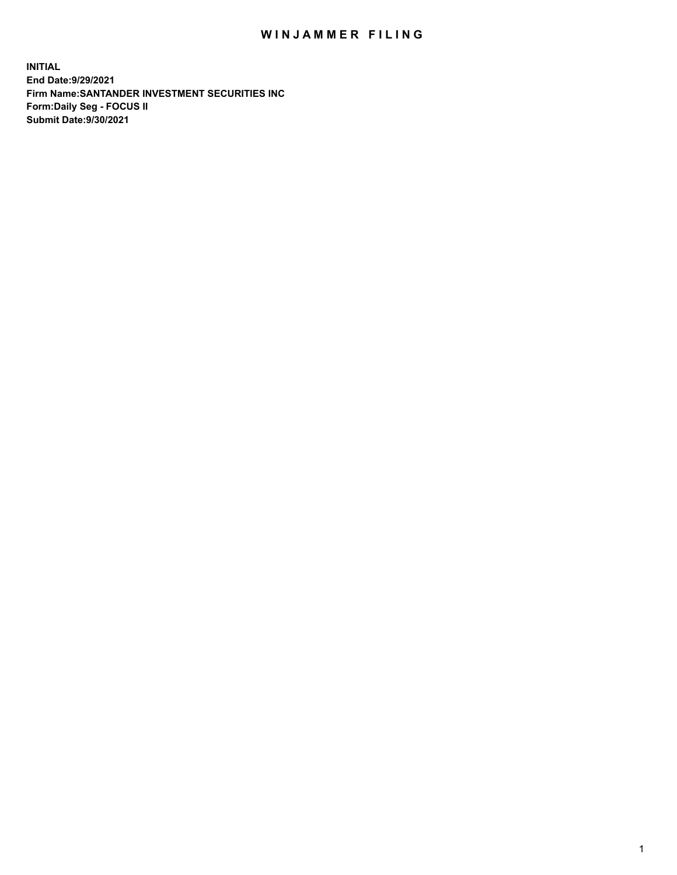## WIN JAMMER FILING

**INITIAL End Date:9/29/2021 Firm Name:SANTANDER INVESTMENT SECURITIES INC Form:Daily Seg - FOCUS II Submit Date:9/30/2021**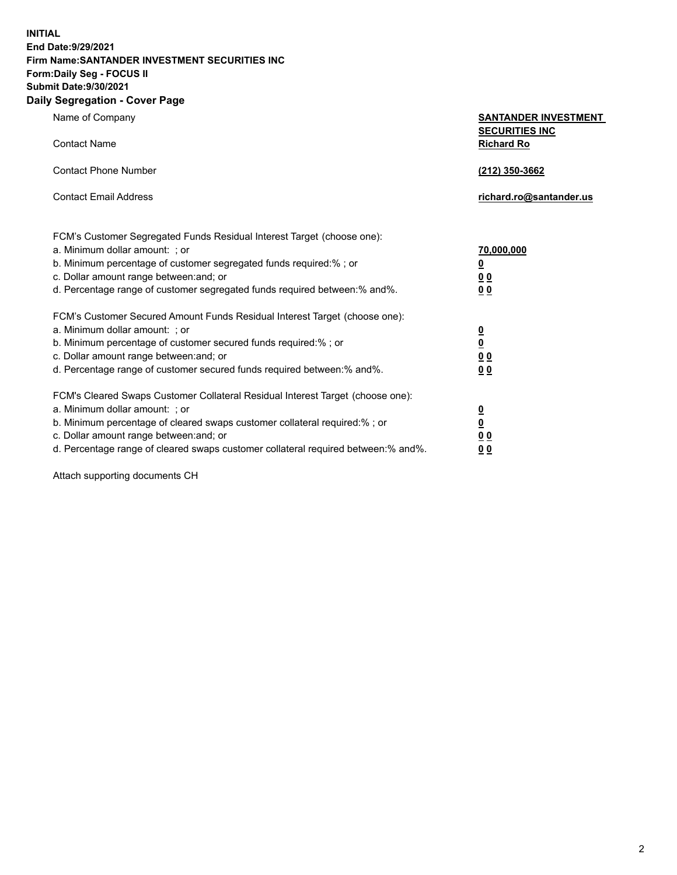**INITIAL End Date:9/29/2021 Firm Name:SANTANDER INVESTMENT SECURITIES INC Form:Daily Seg - FOCUS II Submit Date:9/30/2021 Daily Segregation - Cover Page**

| Name of Company<br><b>Contact Name</b>                                                                                                                                                                                                                                                                                         | <b>SANTANDER INVESTMENT</b><br><b>SECURITIES INC</b><br><b>Richard Ro</b> |
|--------------------------------------------------------------------------------------------------------------------------------------------------------------------------------------------------------------------------------------------------------------------------------------------------------------------------------|---------------------------------------------------------------------------|
| <b>Contact Phone Number</b>                                                                                                                                                                                                                                                                                                    | (212) 350-3662                                                            |
| <b>Contact Email Address</b>                                                                                                                                                                                                                                                                                                   | richard.ro@santander.us                                                   |
| FCM's Customer Segregated Funds Residual Interest Target (choose one):<br>a. Minimum dollar amount: ; or<br>b. Minimum percentage of customer segregated funds required:%; or<br>c. Dollar amount range between: and; or<br>d. Percentage range of customer segregated funds required between:% and%.                          | 70,000,000<br>$\underline{\mathbf{0}}$<br>0 <sub>0</sub><br>00            |
| FCM's Customer Secured Amount Funds Residual Interest Target (choose one):<br>a. Minimum dollar amount: ; or<br>b. Minimum percentage of customer secured funds required:% ; or<br>c. Dollar amount range between: and; or<br>d. Percentage range of customer secured funds required between:% and%.                           | $\frac{0}{0}$<br>$\underline{0} \underline{0}$<br>0 <sub>0</sub>          |
| FCM's Cleared Swaps Customer Collateral Residual Interest Target (choose one):<br>a. Minimum dollar amount: ; or<br>b. Minimum percentage of cleared swaps customer collateral required:% ; or<br>c. Dollar amount range between: and; or<br>d. Percentage range of cleared swaps customer collateral required between:% and%. | $\frac{0}{0}$<br>$\underline{0}$ $\underline{0}$<br>0 <sub>0</sub>        |

Attach supporting documents CH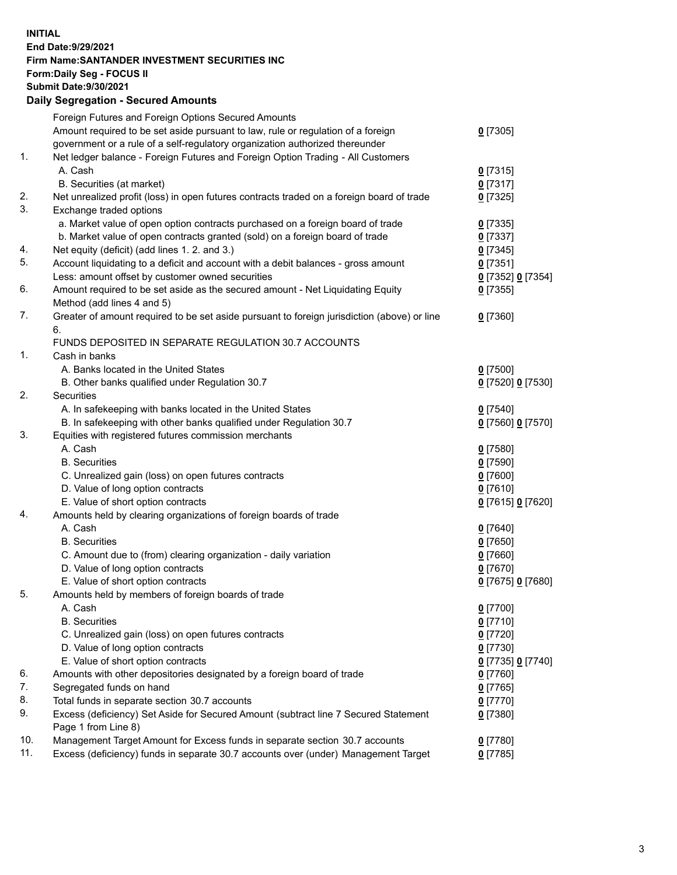**INITIAL End Date:9/29/2021 Firm Name:SANTANDER INVESTMENT SECURITIES INC Form:Daily Seg - FOCUS II Submit Date:9/30/2021 Daily Segregation - Secured Amounts**

|     | Foreign Futures and Foreign Options Secured Amounts                                         |                   |
|-----|---------------------------------------------------------------------------------------------|-------------------|
|     | Amount required to be set aside pursuant to law, rule or regulation of a foreign            | $0$ [7305]        |
|     | government or a rule of a self-regulatory organization authorized thereunder                |                   |
| 1.  | Net ledger balance - Foreign Futures and Foreign Option Trading - All Customers             |                   |
|     | A. Cash                                                                                     | $0$ [7315]        |
|     | B. Securities (at market)                                                                   | $0$ [7317]        |
| 2.  | Net unrealized profit (loss) in open futures contracts traded on a foreign board of trade   | $0$ [7325]        |
| 3.  | Exchange traded options                                                                     |                   |
|     | a. Market value of open option contracts purchased on a foreign board of trade              | $0$ [7335]        |
|     | b. Market value of open contracts granted (sold) on a foreign board of trade                | $0$ [7337]        |
| 4.  | Net equity (deficit) (add lines 1. 2. and 3.)                                               | $0$ [7345]        |
| 5.  | Account liquidating to a deficit and account with a debit balances - gross amount           | $0$ [7351]        |
|     | Less: amount offset by customer owned securities                                            | 0 [7352] 0 [7354] |
| 6.  | Amount required to be set aside as the secured amount - Net Liquidating Equity              | $0$ [7355]        |
|     | Method (add lines 4 and 5)                                                                  |                   |
| 7.  | Greater of amount required to be set aside pursuant to foreign jurisdiction (above) or line | $0$ [7360]        |
|     | 6.                                                                                          |                   |
|     | FUNDS DEPOSITED IN SEPARATE REGULATION 30.7 ACCOUNTS                                        |                   |
| 1.  | Cash in banks                                                                               |                   |
|     | A. Banks located in the United States                                                       | $0$ [7500]        |
|     | B. Other banks qualified under Regulation 30.7                                              | 0 [7520] 0 [7530] |
| 2.  | <b>Securities</b>                                                                           |                   |
|     | A. In safekeeping with banks located in the United States                                   | $0$ [7540]        |
|     | B. In safekeeping with other banks qualified under Regulation 30.7                          | 0 [7560] 0 [7570] |
| 3.  | Equities with registered futures commission merchants                                       |                   |
|     | A. Cash                                                                                     | $0$ [7580]        |
|     | <b>B.</b> Securities                                                                        | $0$ [7590]        |
|     | C. Unrealized gain (loss) on open futures contracts                                         | $0$ [7600]        |
|     | D. Value of long option contracts                                                           | $0$ [7610]        |
|     | E. Value of short option contracts                                                          | 0 [7615] 0 [7620] |
| 4.  | Amounts held by clearing organizations of foreign boards of trade                           |                   |
|     | A. Cash                                                                                     | $0$ [7640]        |
|     | <b>B.</b> Securities                                                                        | $0$ [7650]        |
|     | C. Amount due to (from) clearing organization - daily variation                             | $0$ [7660]        |
|     | D. Value of long option contracts                                                           | $0$ [7670]        |
|     | E. Value of short option contracts                                                          | 0 [7675] 0 [7680] |
| 5.  | Amounts held by members of foreign boards of trade                                          |                   |
|     | A. Cash                                                                                     | 0 [7700]          |
|     | <b>B.</b> Securities                                                                        | $0$ [7710]        |
|     | C. Unrealized gain (loss) on open futures contracts                                         | $0$ [7720]        |
|     | D. Value of long option contracts                                                           | $0$ [7730]        |
|     | E. Value of short option contracts                                                          | 0 [7735] 0 [7740] |
| 6.  | Amounts with other depositories designated by a foreign board of trade                      | $0$ [7760]        |
| 7.  | Segregated funds on hand                                                                    | $0$ [7765]        |
| 8.  | Total funds in separate section 30.7 accounts                                               | $0$ [7770]        |
| 9.  | Excess (deficiency) Set Aside for Secured Amount (subtract line 7 Secured Statement         | $0$ [7380]        |
|     | Page 1 from Line 8)                                                                         |                   |
| 10. | Management Target Amount for Excess funds in separate section 30.7 accounts                 | $0$ [7780]        |
| 11. | Excess (deficiency) funds in separate 30.7 accounts over (under) Management Target          | $0$ [7785]        |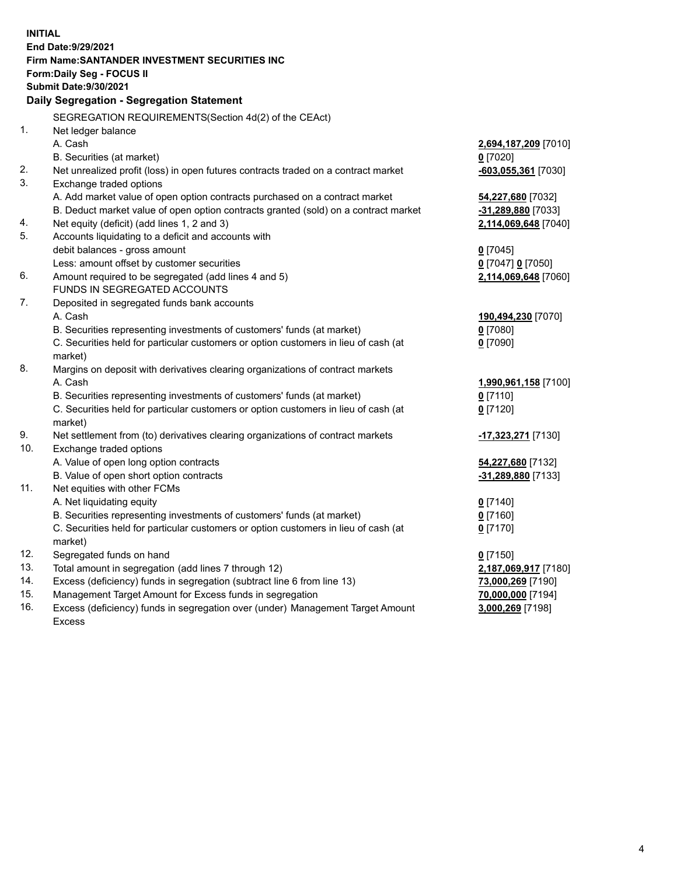| <b>INITIAL</b> |                                                                                           |                           |  |  |  |  |
|----------------|-------------------------------------------------------------------------------------------|---------------------------|--|--|--|--|
|                | End Date: 9/29/2021                                                                       |                           |  |  |  |  |
|                | Firm Name: SANTANDER INVESTMENT SECURITIES INC                                            |                           |  |  |  |  |
|                | Form: Daily Seg - FOCUS II                                                                |                           |  |  |  |  |
|                | <b>Submit Date: 9/30/2021</b>                                                             |                           |  |  |  |  |
|                | Daily Segregation - Segregation Statement                                                 |                           |  |  |  |  |
|                | SEGREGATION REQUIREMENTS(Section 4d(2) of the CEAct)                                      |                           |  |  |  |  |
| 1.             | Net ledger balance                                                                        |                           |  |  |  |  |
|                | A. Cash                                                                                   | 2,694,187,209 [7010]      |  |  |  |  |
|                | B. Securities (at market)                                                                 | $0$ [7020]                |  |  |  |  |
| 2.             | Net unrealized profit (loss) in open futures contracts traded on a contract market        | $-603,055,361$ [7030]     |  |  |  |  |
| 3.             | Exchange traded options                                                                   |                           |  |  |  |  |
|                | A. Add market value of open option contracts purchased on a contract market               | 54,227,680 [7032]         |  |  |  |  |
|                | B. Deduct market value of open option contracts granted (sold) on a contract market       | <u>-31,289,880</u> [7033] |  |  |  |  |
| 4.             | Net equity (deficit) (add lines 1, 2 and 3)                                               | 2,114,069,648 [7040]      |  |  |  |  |
| 5.             | Accounts liquidating to a deficit and accounts with                                       |                           |  |  |  |  |
|                | debit balances - gross amount                                                             | $0$ [7045]                |  |  |  |  |
|                | Less: amount offset by customer securities                                                | 0 [7047] 0 [7050]         |  |  |  |  |
| 6.             | Amount required to be segregated (add lines 4 and 5)                                      | 2,114,069,648 [7060]      |  |  |  |  |
|                | FUNDS IN SEGREGATED ACCOUNTS                                                              |                           |  |  |  |  |
| 7.             | Deposited in segregated funds bank accounts                                               |                           |  |  |  |  |
|                | A. Cash                                                                                   | 190,494,230 [7070]        |  |  |  |  |
|                | B. Securities representing investments of customers' funds (at market)                    | $0$ [7080]                |  |  |  |  |
|                | C. Securities held for particular customers or option customers in lieu of cash (at       | $0$ [7090]                |  |  |  |  |
| 8.             | market)                                                                                   |                           |  |  |  |  |
|                | Margins on deposit with derivatives clearing organizations of contract markets<br>A. Cash | 1,990,961,158 [7100]      |  |  |  |  |
|                | B. Securities representing investments of customers' funds (at market)                    | $0$ [7110]                |  |  |  |  |
|                | C. Securities held for particular customers or option customers in lieu of cash (at       | $0$ [7120]                |  |  |  |  |
|                | market)                                                                                   |                           |  |  |  |  |
| 9.             | Net settlement from (to) derivatives clearing organizations of contract markets           | -17,323,271 [7130]        |  |  |  |  |
| 10.            | Exchange traded options                                                                   |                           |  |  |  |  |
|                | A. Value of open long option contracts                                                    | 54,227,680 [7132]         |  |  |  |  |
|                | B. Value of open short option contracts                                                   | -31,289,880 [7133]        |  |  |  |  |
| 11.            | Net equities with other FCMs                                                              |                           |  |  |  |  |
|                | A. Net liquidating equity                                                                 | $0$ [7140]                |  |  |  |  |
|                | B. Securities representing investments of customers' funds (at market)                    | $0$ [7160]                |  |  |  |  |
|                | C. Securities held for particular customers or option customers in lieu of cash (at       | $0$ [7170]                |  |  |  |  |
|                | market)                                                                                   |                           |  |  |  |  |
| 12.            | Segregated funds on hand                                                                  | $0$ [7150]                |  |  |  |  |
| 13.            | Total amount in segregation (add lines 7 through 12)                                      | 2,187,069,917 [7180]      |  |  |  |  |
| 14.            | Excess (deficiency) funds in segregation (subtract line 6 from line 13)                   | 73,000,269 [7190]         |  |  |  |  |
| 15.            | Management Target Amount for Excess funds in segregation                                  | 70,000,000 [7194]         |  |  |  |  |
| 16.            | Excess (deficiency) funds in segregation over (under) Management Target Amount            | 3,000,269 [7198]          |  |  |  |  |
|                | Excess                                                                                    |                           |  |  |  |  |